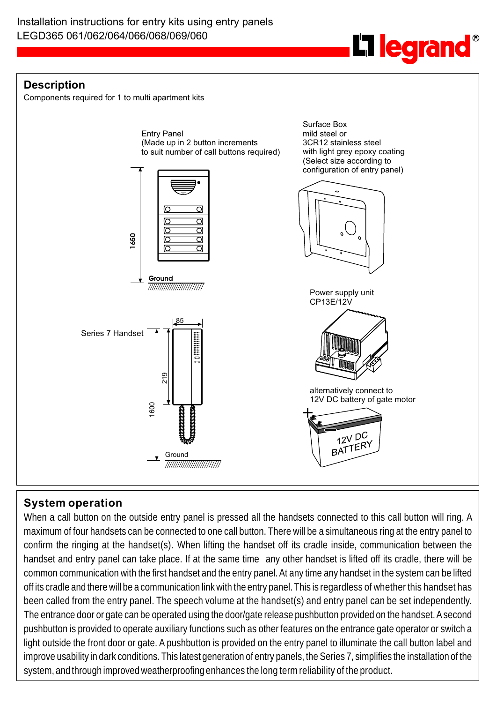**L1 legrand** 

## **Description**

Components required for 1 to multi apartment kits



# **System operation**

When a call button on the outside entry panel is pressed all the handsets connected to this call button will ring. A maximum of four handsets can be connected to one call button. There will be a simultaneous ring at the entry panel to confirm the ringing at the handset(s). When lifting the handset off its cradle inside, communication between the handset and entry panel can take place. If at the same time any other handset is lifted off its cradle, there will be common communication with the first handset and the entry panel. At any time any handset in the system can be lifted off its cradle and there will be a communication link with the entry panel. This is regardless of whether this handset has been called from the entry panel. The speech volume at the handset(s) and entry panel can be set independently. The entrance door or gate can be operated using the door/gate release pushbutton provided on the handset. A second pushbutton is provided to operate auxiliary functions such as other features on the entrance gate operator or switch a light outside the front door or gate. A pushbutton is provided on the entry panel to illuminate the call button label and improve usability in dark conditions. This latest generation of entry panels, the Series 7, simplifies the installation of the system, and through improved weatherproofing enhances the long term reliability of the product.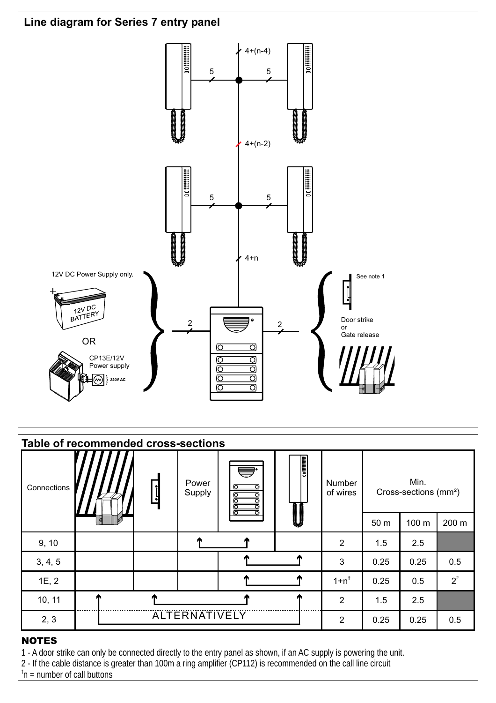

| Table of recommended cross-sections |                      |                 |                 |             |                      |                    |                                           |       |       |  |
|-------------------------------------|----------------------|-----------------|-----------------|-------------|----------------------|--------------------|-------------------------------------------|-------|-------|--|
| Connections                         |                      | <u> <br/> -</u> | Power<br>Supply | U<br>б<br>Ω |                      | Number<br>of wires | Min.<br>Cross-sections (mm <sup>2</sup> ) |       |       |  |
|                                     |                      |                 |                 |             | <b>September 200</b> |                    | 50 m                                      | 100 m | 200 m |  |
| 9, 10                               |                      |                 |                 |             |                      | 2                  | 1.5                                       | 2.5   |       |  |
| 3, 4, 5                             |                      |                 |                 |             |                      | 3                  | 0.25                                      | 0.25  | 0.5   |  |
| 1E, 2                               |                      |                 |                 |             |                      | $1+n^{\dagger}$    | 0.25                                      | 0.5   | $2^2$ |  |
| 10, 11                              |                      |                 |                 |             |                      | 2                  | 1.5                                       | 2.5   |       |  |
| 2, 3                                | <b>ALTERNATIVELY</b> |                 |                 |             |                      | 2                  | 0.25                                      | 0.25  | 0.5   |  |

## NOTES

1 - A door strike can only be connected directly to the entry panel as shown, if an AC supply is powering the unit.

2 - If the cable distance is greater than 100m a ring amplifier (CP112) is recommended on the call line circuit

**†** n = number of call buttons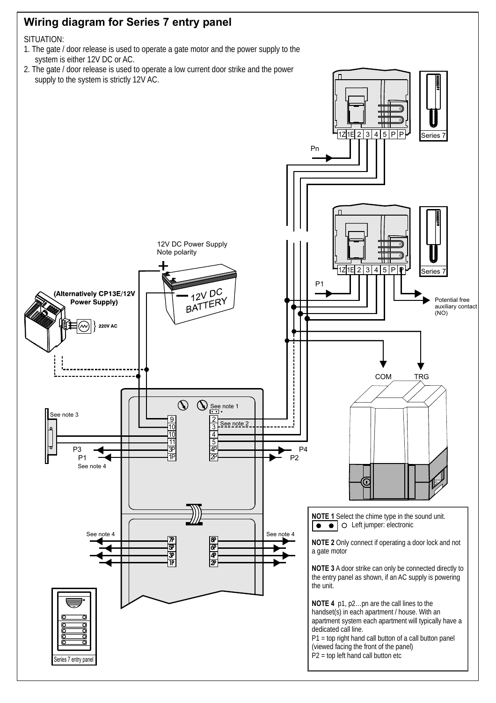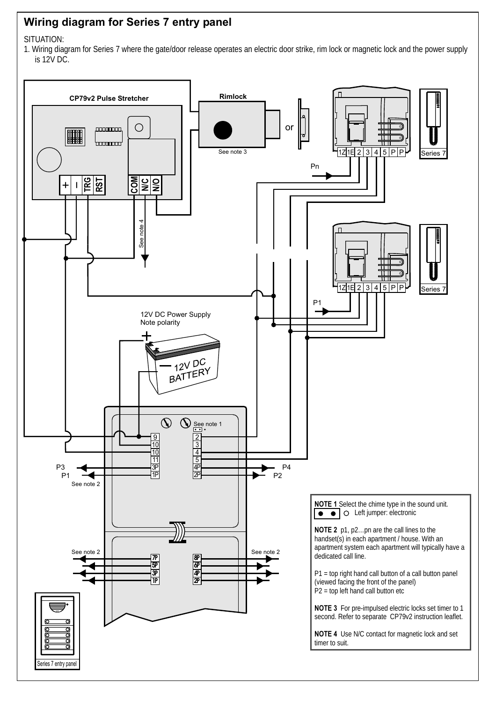# **Wiring diagram for Series 7 entry panel**

SITUATION:

1. Wiring diagram for Series 7 where the gate/door release operates an electric door strike, rim lock or magnetic lock and the power supply is 12V DC.

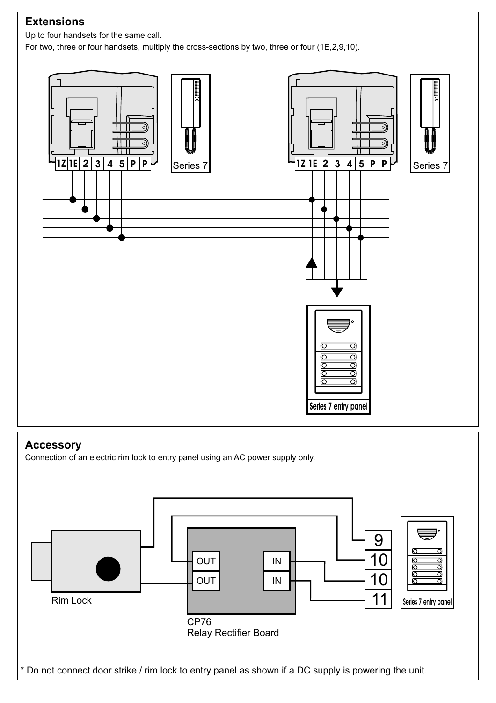# **Extensions**

Up to four handsets for the same call.

For two, three or four handsets, multiply the cross-sections by two, three or four (1E,2,9,10).



## **Accessory**

Connection of an electric rim lock to entry panel using an AC power supply only.

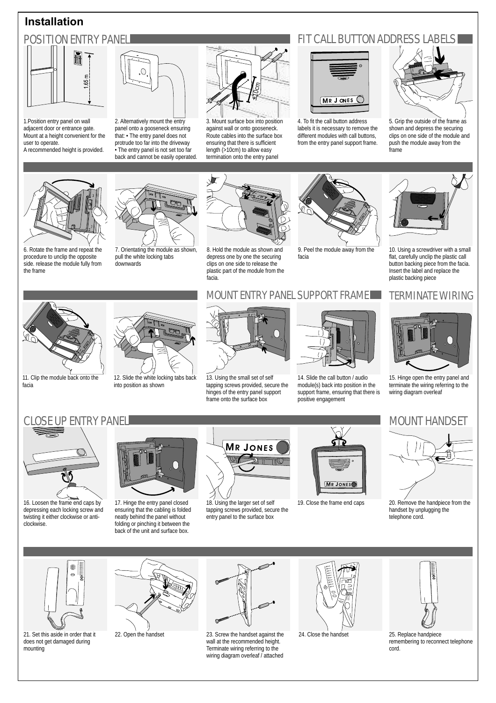## **Installation**



1.Position entry panel on wall adjacent door or entrance gate. Mount at a height convenient for the user to operate.

A recommended height is provided.



2. Alternatively mount the entry panel onto a gooseneck ensuring that: • The entry panel does not protrude too far into the driveway • The entry panel is not set too far back and cannot be easily operated.



3. Mount surface box into position against wall or onto gooseneck. Route cables into the surface box ensuring that there is sufficient length (>10cm) to allow easy termination onto the entry panel





4. To fit the call button address labels it is necessary to remove the different modules with call buttons, from the entry panel support frame.



5. Grip the outside of the frame as shown and depress the securing clips on one side of the module and push the module away from the frame



6. Rotate the frame and repeat the procedure to unclip the opposite side. release the module fully from the frame



7. Orientating the module as shown, pull the white locking tabs downwards



8. Hold the module as shown and depress one by one the securing clips on one side to release the plastic part of the module from the facia.



9. Peel the module away from the facia



10. Using a screwdriver with a small flat, carefully unclip the plastic call button backing piece from the facia. Insert the label and replace the plastic backing piece



15. Hinge open the entry panel and terminate the wiring referring to the wiring diagram overleaf

## CLOSE UP ENTRY PANEL MOUNT HANDSET AND LOCAL MOUNT HANDSET



11. Clip the module back onto the

facia

16. Loosen the frame end caps by depressing each locking screw and twisting it either clockwise or anticlockwise.



12. Slide the white locking tabs back into position as shown



18. Using the larger set of self tapping screws provided, secure the entry panel to the surface box



19. Close the frame end caps



20. Remove the handpiece from the handset by unplugging the telephone cord.



21. Set this aside in order that it does not get damaged during mounting



22. Open the handset



23. Screw the handset against the wall at the recommended height. Terminate wiring referring to the wiring diagram overleaf / attached



24. Close the handset



25. Replace handpiece remembering to reconnect telephone cord.



13. Using the small set of self tapping screws provided, secure the hinges of the entry panel support frame onto the surface box



14. Slide the call button / audio module(s) back into position in the support frame, ensuring that there is positive engagement

# MOUNT ENTRY PANEL SUPPORT FRAME TERMINATE WIRING

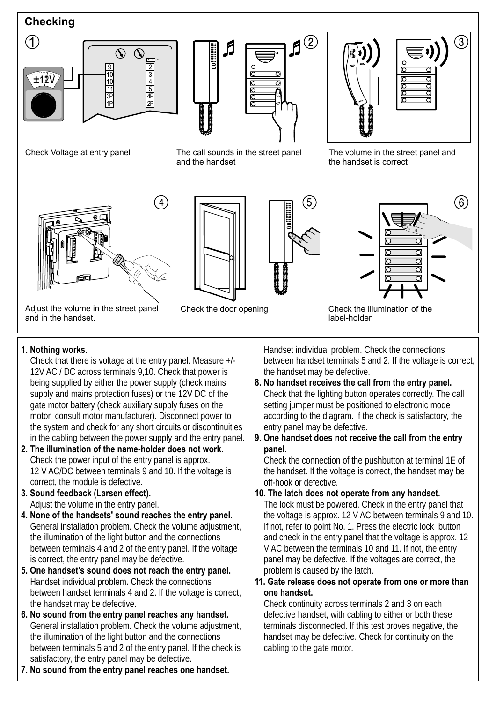

- Check that there is voltage at the entry panel. Measure +/- between handset terminals 5 and 2. If the voltage is correct, 12V AC / DC across terminals 9.10. Check that power is the handset may be defective. being supplied by either the power supply (check mains **8. No handset receives the call from the entry panel.** supply and mains protection fuses) or the 12V DC of the Check that the lighting button operates correctly. The call gate motor battery (check auxiliary supply fuses on the setting jumper must be positioned to electronic mode<br>motor consult motor manufacturer). Disconnect power to according to the diagram. If the check is satisfactory, th motor consult motor manufacturer). Disconnect power to according to the diagram. If the system and check for any short circuits or discontinuities entry panel may be defective. the system and check for any short circuits or discontinuities entry panel may be defective.<br>in the cabling between the power supply and the entry panel. 9. One handset does not receive the call from the entry in the cabling between the power supply and the entry panel.
- **2. The illumination of the name-holder does not work. panel.** Check the power input of the entry panel is approx. Check the connection of the pushbutton at terminal 1E of 12 V AC/DC between terminals 9 and 10. If the voltage is the handset. If the voltage is correct, the handset may be correct. If the woltage is correct, the handset may be correct. If the voltage is correct. If the voltage correct, the module is defective.
- 
- **4. None of the handsets' sound reaches the entry panel.** the voltage is approx. 12 V AC between terminals 9 and 10. General installation problem. Check the volume adjustment, between terminals 4 and 2 of the entry panel. If the voltage V AC between the terminals 10 and 11. If not, the entry is correct, the entry panel may be defective.  $\blacksquare$  panel may be defective. If the voltages are correct, the
- **5. One handset's sound does not reach the entry panel.** Problem is caused by the latch.<br>Handset individual problem Check the connections **11. Gate release does not opera** between handset terminals 4 and 2. If the voltage is correct, **one handset.**
- **6. No sound from the entry panel reaches any handset.** defective handset, with cabling to either or both these General installation problem. Check the volume adiustment. terminals disconnected. If this test proves negativ General installation problem. Check the volume adjustment, the illumination of the light button and the connections handset may be defective. Check for continuity on the between terminals 5 and 2 of the entry panel. If the check is cabling to the gate motor. satisfactory, the entry panel may be defective.
- **7. No sound from the entry panel reaches one handset.**

**1. Nothing works.** Handset individual problem. Check the connections

- 
- 

- **3. Sound feedback (Larsen effect). 10. The latch does not operate from any handset.** Adjust the volume in the entry panel. The lock must be powered. Check in the entry panel that the illumination of the light button and the connections and check in the entry panel that the voltage is approx. 12
	- 11. Gate release does not operate from one or more than

Check continuity across terminals 2 and 3 on each